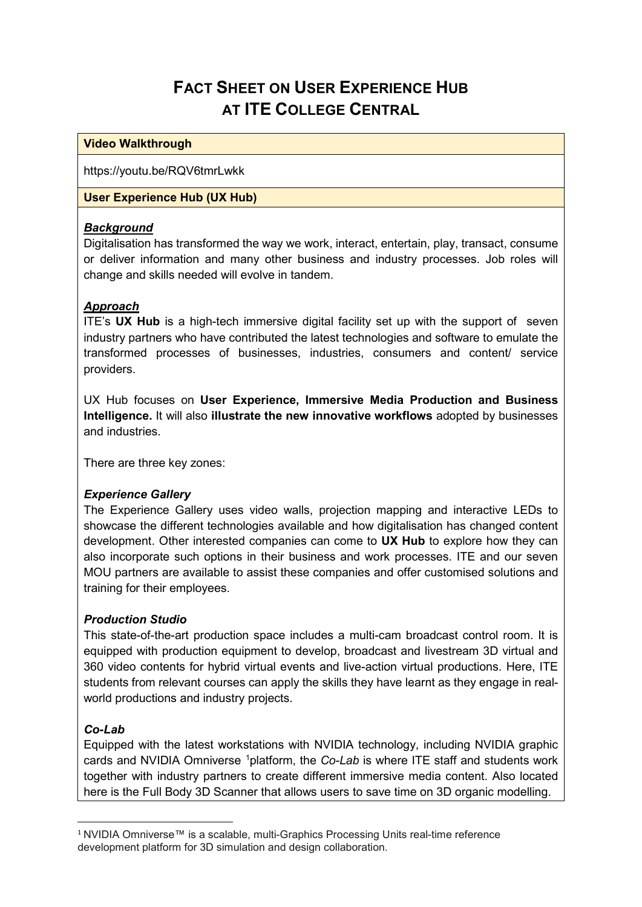# **FACT SHEET ON USER EXPERIENCE HUB AT ITE COLLEGE CENTRAL**

#### **Video Walkthrough**

https://youtu.be/RQV6tmrLwkk

#### **User Experience Hub (UX Hub)**

## *Background*

Digitalisation has transformed the way we work, interact, entertain, play, transact, consume or deliver information and many other business and industry processes. Job roles will change and skills needed will evolve in tandem.

## *Approach*

ITE's **UX Hub** is a high-tech immersive digital facility set up with the support of seven industry partners who have contributed the latest technologies and software to emulate the transformed processes of businesses, industries, consumers and content/ service providers.

UX Hub focuses on **User Experience, Immersive Media Production and Business Intelligence.** It will also **illustrate the new innovative workflows** adopted by businesses and industries.

There are three key zones:

## *Experience Gallery*

The Experience Gallery uses video walls, projection mapping and interactive LEDs to showcase the different technologies available and how digitalisation has changed content development. Other interested companies can come to **UX Hub** to explore how they can also incorporate such options in their business and work processes. ITE and our seven MOU partners are available to assist these companies and offer customised solutions and training for their employees.

## *Production Studio*

This state-of-the-art production space includes a multi-cam broadcast control room. It is equipped with production equipment to develop, broadcast and livestream 3D virtual and 360 video contents for hybrid virtual events and live-action virtual productions. Here, ITE students from relevant courses can apply the skills they have learnt as they engage in realworld productions and industry projects.

## *Co-Lab*

Equipped with the latest workstations with NVIDIA technology, including NVIDIA graphic cards and NVIDIA Omniverse <sup>[1](#page-0-0)</sup>platform, the *Co-Lab* is where ITE staff and students work together with industry partners to create different immersive media content. Also located here is the Full Body 3D Scanner that allows users to save time on 3D organic modelling.

<span id="page-0-0"></span> <sup>1</sup> NVIDIA Omniverse™ is a scalable, multi-Graphics Processing Units real-time reference development platform for 3D simulation and design collaboration.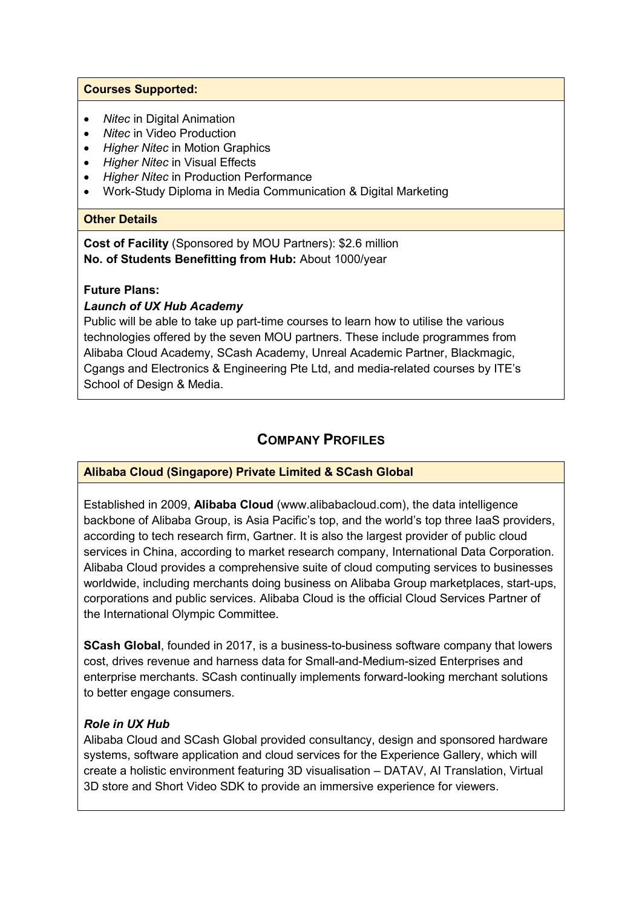#### **Courses Supported:**

- *Nitec* in Digital Animation
- *Nitec* in Video Production
- *Higher Nitec* in Motion Graphics
- *Higher Nitec* in Visual Effects
- *Higher Nitec* in Production Performance
- Work-Study Diploma in Media Communication & Digital Marketing

#### **Other Details**

**Cost of Facility** (Sponsored by MOU Partners): \$2.6 million **No. of Students Benefitting from Hub:** About 1000/year

#### **Future Plans:**

## *Launch of UX Hub Academy*

Public will be able to take up part-time courses to learn how to utilise the various technologies offered by the seven MOU partners. These include programmes from Alibaba Cloud Academy, SCash Academy, Unreal Academic Partner, Blackmagic, Cgangs and Electronics & Engineering Pte Ltd, and media-related courses by ITE's School of Design & Media.

## **COMPANY PROFILES**

## **Alibaba Cloud (Singapore) Private Limited & SCash Global**

Established in 2009, **Alibaba Cloud** (www.alibabacloud.com), the data intelligence backbone of Alibaba Group, is Asia Pacific's top, and the world's top three IaaS providers, according to tech research firm, Gartner. It is also the largest provider of public cloud services in China, according to market research company, International Data Corporation. Alibaba Cloud provides a comprehensive suite of cloud computing services to businesses worldwide, including merchants doing business on Alibaba Group marketplaces, start-ups, corporations and public services. Alibaba Cloud is the official Cloud Services Partner of the International Olympic Committee.

**SCash Global**, founded in 2017, is a business-to-business software company that lowers cost, drives revenue and harness data for Small-and-Medium-sized Enterprises and enterprise merchants. SCash continually implements forward-looking merchant solutions to better engage consumers.

## *Role in UX Hub*

Alibaba Cloud and SCash Global provided consultancy, design and sponsored hardware systems, software application and cloud services for the Experience Gallery, which will create a holistic environment featuring 3D visualisation – DATAV, AI Translation, Virtual 3D store and Short Video SDK to provide an immersive experience for viewers.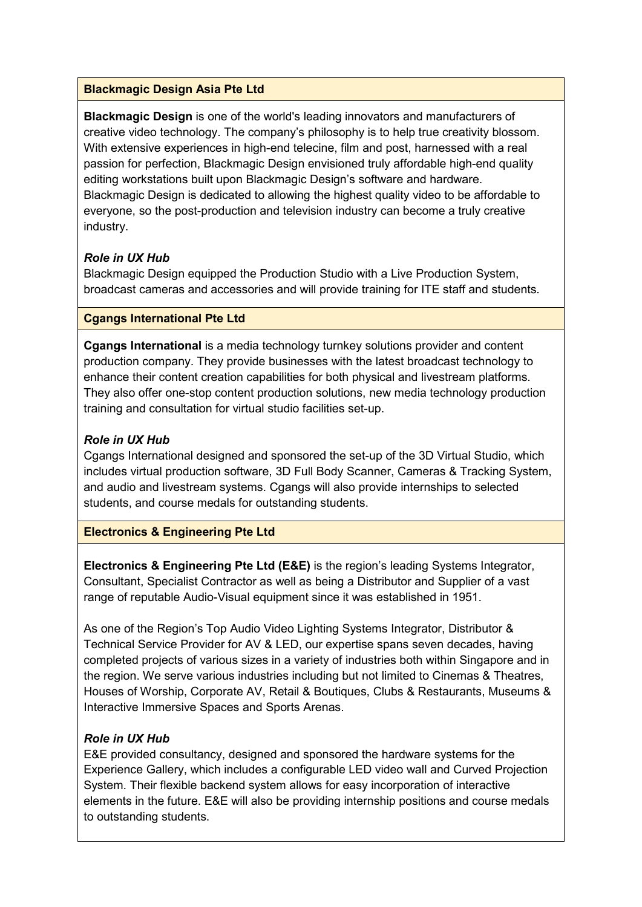#### **Blackmagic Design Asia Pte Ltd**

**Blackmagic Design** is one of the world's leading innovators and manufacturers of creative video technology. The company's philosophy is to help true creativity blossom. With extensive experiences in high-end telecine, film and post, harnessed with a real passion for perfection, Blackmagic Design envisioned truly affordable high-end quality editing workstations built upon Blackmagic Design's software and hardware. Blackmagic Design is dedicated to allowing the highest quality video to be affordable to everyone, so the post-production and television industry can become a truly creative industry.

## *Role in UX Hub*

Blackmagic Design equipped the Production Studio with a Live Production System, broadcast cameras and accessories and will provide training for ITE staff and students.

#### **Cgangs International Pte Ltd**

**Cgangs International** is a media technology turnkey solutions provider and content production company. They provide businesses with the latest broadcast technology to enhance their content creation capabilities for both physical and livestream platforms. They also offer one-stop content production solutions, new media technology production training and consultation for virtual studio facilities set-up.

#### *Role in UX Hub*

Cgangs International designed and sponsored the set-up of the 3D Virtual Studio, which includes virtual production software, 3D Full Body Scanner, Cameras & Tracking System, and audio and livestream systems. Cgangs will also provide internships to selected students, and course medals for outstanding students.

## **Electronics & Engineering Pte Ltd**

**Electronics & Engineering Pte Ltd (E&E)** is the region's leading Systems Integrator, Consultant, Specialist Contractor as well as being a Distributor and Supplier of a vast range of reputable Audio-Visual equipment since it was established in 1951.

As one of the Region's Top Audio Video Lighting Systems Integrator, Distributor & Technical Service Provider for AV & LED, our expertise spans seven decades, having completed projects of various sizes in a variety of industries both within Singapore and in the region. We serve various industries including but not limited to Cinemas & Theatres, Houses of Worship, Corporate AV, Retail & Boutiques, Clubs & Restaurants, Museums & Interactive Immersive Spaces and Sports Arenas.

## *Role in UX Hub*

E&E provided consultancy, designed and sponsored the hardware systems for the Experience Gallery, which includes a configurable LED video wall and Curved Projection System. Their flexible backend system allows for easy incorporation of interactive elements in the future. E&E will also be providing internship positions and course medals to outstanding students.